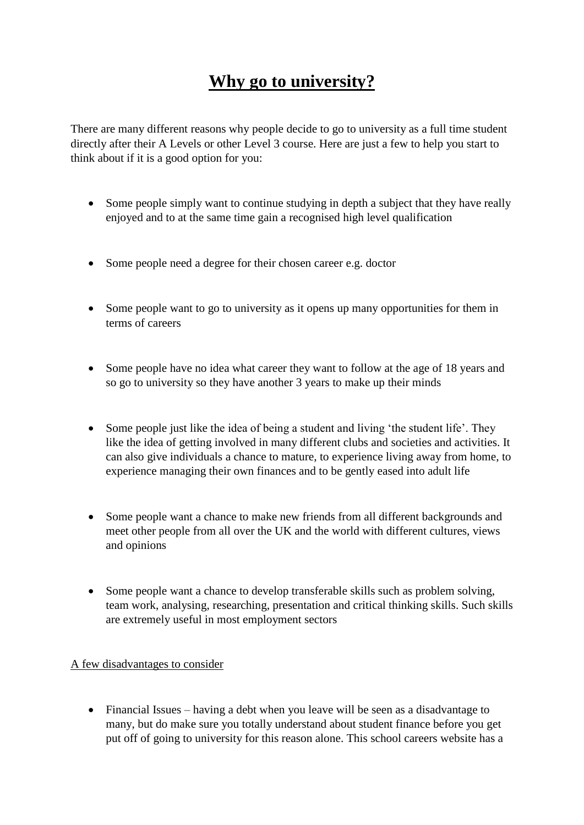## **Why go to university?**

There are many different reasons why people decide to go to university as a full time student directly after their A Levels or other Level 3 course. Here are just a few to help you start to think about if it is a good option for you:

- Some people simply want to continue studying in depth a subject that they have really enjoyed and to at the same time gain a recognised high level qualification
- Some people need a degree for their chosen career e.g. doctor
- Some people want to go to university as it opens up many opportunities for them in terms of careers
- Some people have no idea what career they want to follow at the age of 18 years and so go to university so they have another 3 years to make up their minds
- Some people just like the idea of being a student and living 'the student life'. They like the idea of getting involved in many different clubs and societies and activities. It can also give individuals a chance to mature, to experience living away from home, to experience managing their own finances and to be gently eased into adult life
- Some people want a chance to make new friends from all different backgrounds and meet other people from all over the UK and the world with different cultures, views and opinions
- Some people want a chance to develop transferable skills such as problem solving, team work, analysing, researching, presentation and critical thinking skills. Such skills are extremely useful in most employment sectors

## A few disadvantages to consider

 Financial Issues – having a debt when you leave will be seen as a disadvantage to many, but do make sure you totally understand about student finance before you get put off of going to university for this reason alone. This school careers website has a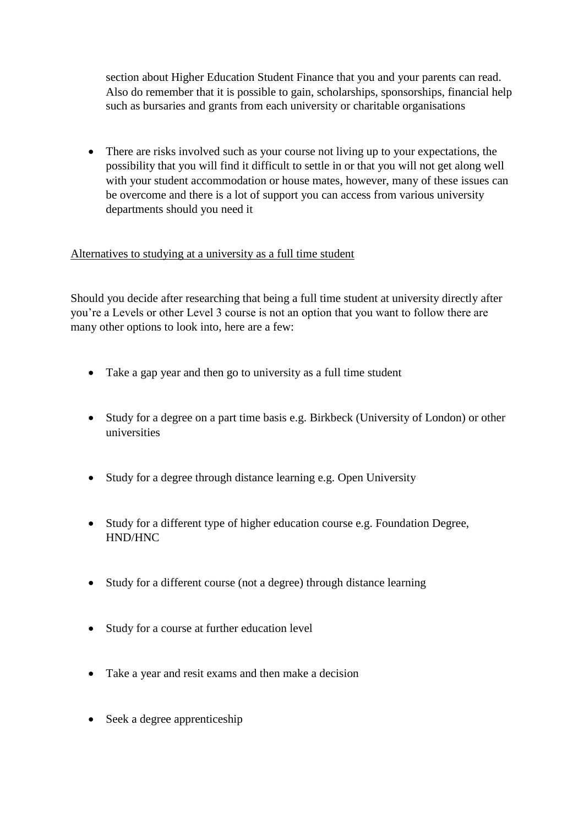section about Higher Education Student Finance that you and your parents can read. Also do remember that it is possible to gain, scholarships, sponsorships, financial help such as bursaries and grants from each university or charitable organisations

• There are risks involved such as your course not living up to your expectations, the possibility that you will find it difficult to settle in or that you will not get along well with your student accommodation or house mates, however, many of these issues can be overcome and there is a lot of support you can access from various university departments should you need it

## Alternatives to studying at a university as a full time student

Should you decide after researching that being a full time student at university directly after you're a Levels or other Level 3 course is not an option that you want to follow there are many other options to look into, here are a few:

- Take a gap year and then go to university as a full time student
- Study for a degree on a part time basis e.g. Birkbeck (University of London) or other universities
- Study for a degree through distance learning e.g. Open University
- Study for a different type of higher education course e.g. Foundation Degree, HND/HNC
- Study for a different course (not a degree) through distance learning
- Study for a course at further education level
- Take a year and resit exams and then make a decision
- Seek a degree apprenticeship